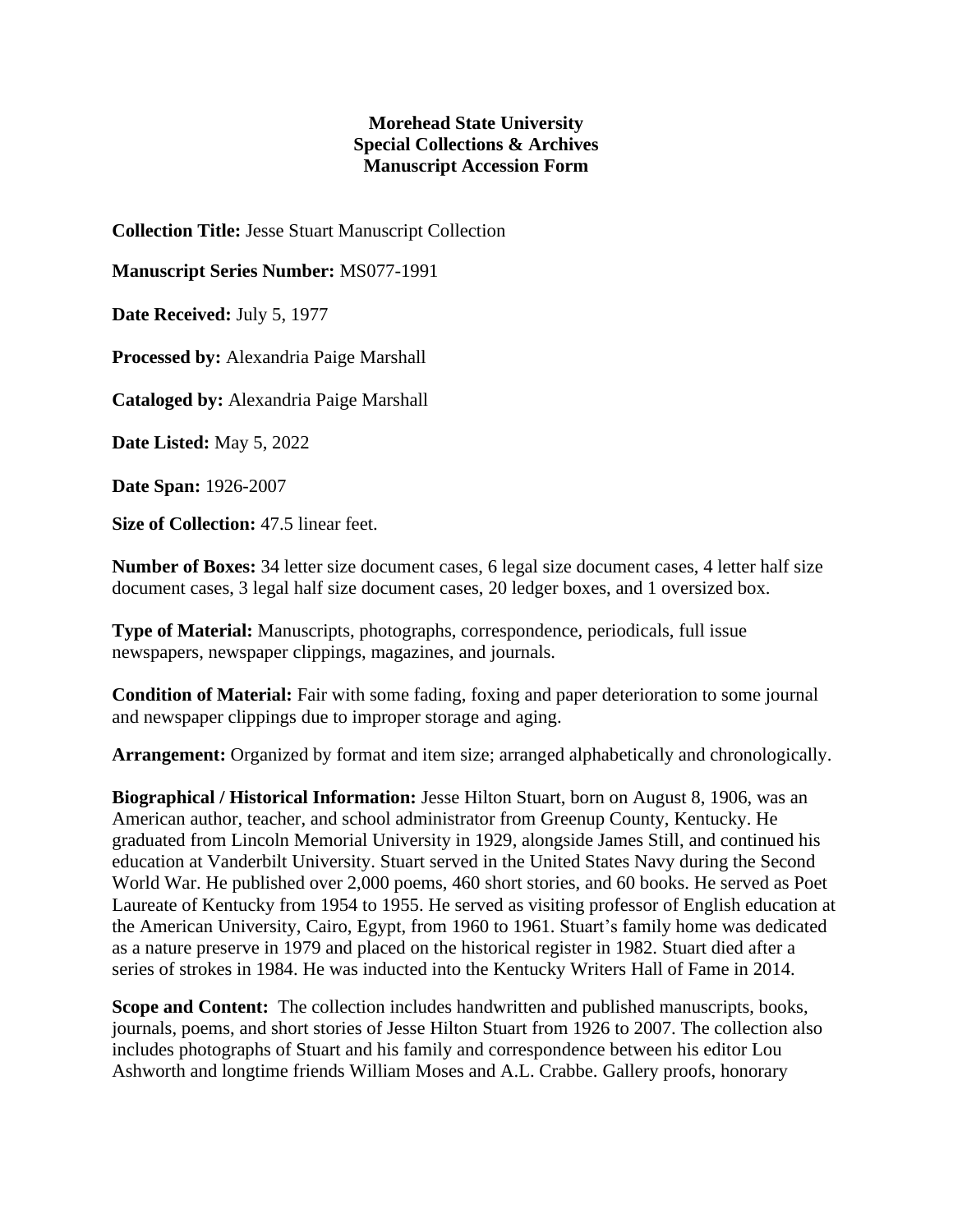## **Morehead State University Special Collections & Archives Manuscript Accession Form**

**Collection Title:** Jesse Stuart Manuscript Collection

**Manuscript Series Number:** MS077-1991

**Date Received:** July 5, 1977

**Processed by:** Alexandria Paige Marshall

**Cataloged by:** Alexandria Paige Marshall

**Date Listed:** May 5, 2022

**Date Span:** 1926-2007

**Size of Collection:** 47.5 linear feet.

**Number of Boxes:** 34 letter size document cases, 6 legal size document cases, 4 letter half size document cases, 3 legal half size document cases, 20 ledger boxes, and 1 oversized box.

**Type of Material:** Manuscripts, photographs, correspondence, periodicals, full issue newspapers, newspaper clippings, magazines, and journals.

**Condition of Material:** Fair with some fading, foxing and paper deterioration to some journal and newspaper clippings due to improper storage and aging.

**Arrangement:** Organized by format and item size; arranged alphabetically and chronologically.

**Biographical / Historical Information:** Jesse Hilton Stuart, born on August 8, 1906, was an American author, teacher, and school administrator from Greenup County, Kentucky. He graduated from Lincoln Memorial University in 1929, alongside James Still, and continued his education at Vanderbilt University. Stuart served in the United States Navy during the Second World War. He published over 2,000 poems, 460 short stories, and 60 books. He served as Poet Laureate of Kentucky from 1954 to 1955. He served as visiting professor of English education at the American University, Cairo, Egypt, from 1960 to 1961. Stuart's family home was dedicated as a nature preserve in 1979 and placed on the historical register in 1982. Stuart died after a series of strokes in 1984. He was inducted into the Kentucky Writers Hall of Fame in 2014.

**Scope and Content:** The collection includes handwritten and published manuscripts, books, journals, poems, and short stories of Jesse Hilton Stuart from 1926 to 2007. The collection also includes photographs of Stuart and his family and correspondence between his editor Lou Ashworth and longtime friends William Moses and A.L. Crabbe. Gallery proofs, honorary